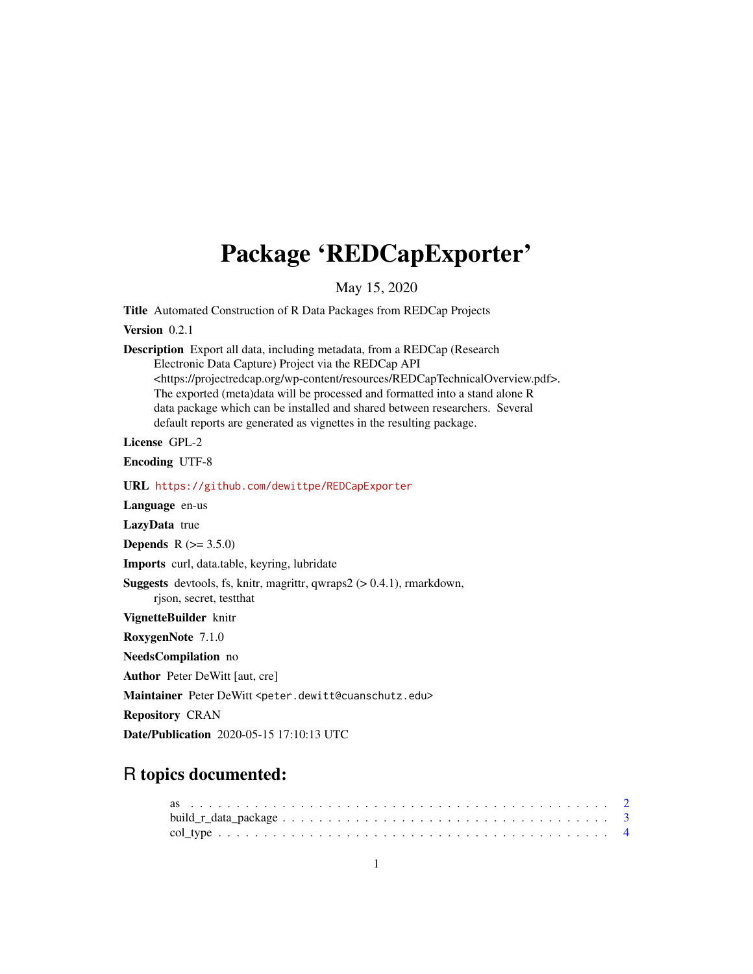## <span id="page-0-0"></span>Package 'REDCapExporter'

May 15, 2020

Title Automated Construction of R Data Packages from REDCap Projects

Version 0.2.1

Description Export all data, including metadata, from a REDCap (Research Electronic Data Capture) Project via the REDCap API <https://projectredcap.org/wp-content/resources/REDCapTechnicalOverview.pdf>. The exported (meta)data will be processed and formatted into a stand alone R data package which can be installed and shared between researchers. Several default reports are generated as vignettes in the resulting package.

License GPL-2

Encoding UTF-8

URL <https://github.com/dewittpe/REDCapExporter>

Language en-us

LazyData true

**Depends** R  $(>= 3.5.0)$ 

Imports curl, data.table, keyring, lubridate

Suggests devtools, fs, knitr, magrittr, qwraps2 (> 0.4.1), rmarkdown, rjson, secret, testthat

VignetteBuilder knitr

RoxygenNote 7.1.0

NeedsCompilation no

Author Peter DeWitt [aut, cre]

Maintainer Peter DeWitt <peter.dewitt@cuanschutz.edu>

Repository CRAN

Date/Publication 2020-05-15 17:10:13 UTC

### R topics documented: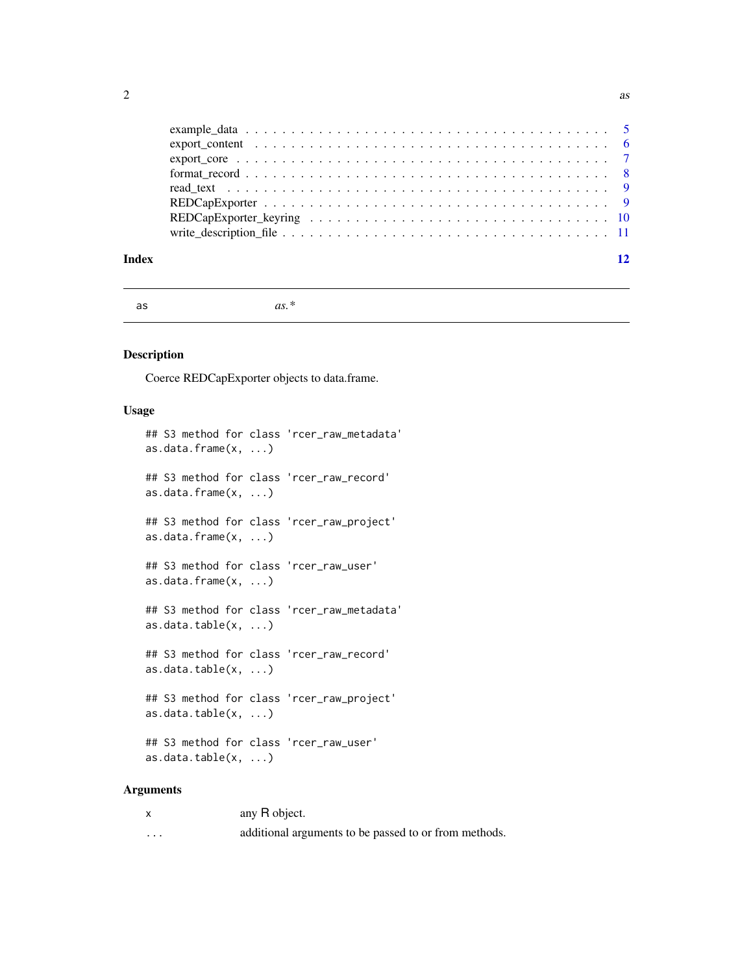<span id="page-1-0"></span>

| $\text{export\_core} \dots \dots \dots \dots \dots \dots \dots \dots \dots \dots \dots \dots \dots \dots \dots \dots \dots$ |  |
|-----------------------------------------------------------------------------------------------------------------------------|--|
|                                                                                                                             |  |
|                                                                                                                             |  |
|                                                                                                                             |  |
|                                                                                                                             |  |
|                                                                                                                             |  |
|                                                                                                                             |  |

#### **Index** [12](#page-11-0)

as *as.\**

#### Description

Coerce REDCapExporter objects to data.frame.

#### Usage

```
## S3 method for class 'rcer_raw_metadata'
as.data.frame(x, ...)
## S3 method for class 'rcer_raw_record'
as.data.frame(x, ...)
## S3 method for class 'rcer_raw_project'
as.data.frame(x, ...)
## S3 method for class 'rcer_raw_user'
as.data.frame(x, ...)
## S3 method for class 'rcer_raw_metadata'
as.data.table(x, \ldots)## S3 method for class 'rcer_raw_record'
as.data.table(x, ...)
## S3 method for class 'rcer_raw_project'
as.data.table(x, ...)
## S3 method for class 'rcer_raw_user'
as.data.table(x, ...)
```

| $\boldsymbol{\mathsf{x}}$ | any R object.                                         |
|---------------------------|-------------------------------------------------------|
| $\cdots$                  | additional arguments to be passed to or from methods. |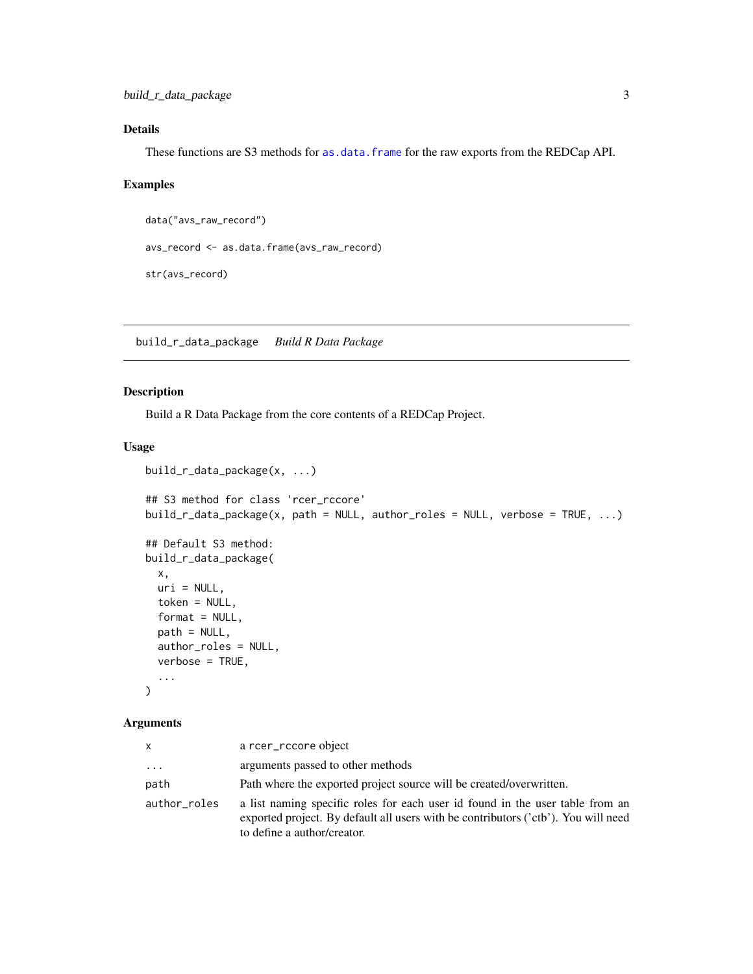#### <span id="page-2-0"></span>Details

These functions are S3 methods for [as.data.frame](#page-0-0) for the raw exports from the REDCap API.

#### Examples

```
data("avs_raw_record")
avs_record <- as.data.frame(avs_raw_record)
str(avs_record)
```
build\_r\_data\_package *Build R Data Package*

#### Description

Build a R Data Package from the core contents of a REDCap Project.

#### Usage

```
build_r_data_package(x, ...)
## S3 method for class 'rcer_rccore'
build_r_data_package(x, path = NULL, author_roles = NULL, verbose = TRUE, ...)## Default S3 method:
build_r_data_package(
  x,
 uri = NULL,token = NULL,
  format = NULL,path = NULL,
  author_roles = NULL,
  verbose = TRUE,
  ...
\mathcal{L}
```

| $\mathsf{x}$ | a rcer_rccore object                                                                                                                                                                               |
|--------------|----------------------------------------------------------------------------------------------------------------------------------------------------------------------------------------------------|
| $\cdots$     | arguments passed to other methods                                                                                                                                                                  |
| path         | Path where the exported project source will be created/overwritten.                                                                                                                                |
| author_roles | a list naming specific roles for each user id found in the user table from an<br>exported project. By default all users with be contributors ('ctb'). You will need<br>to define a author/creator. |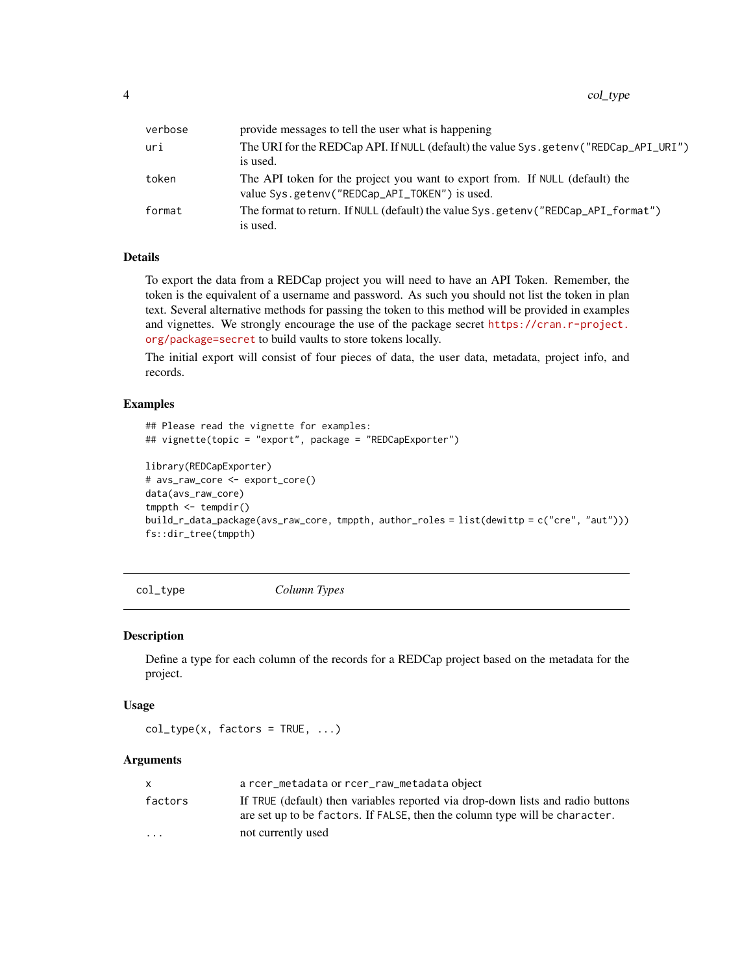<span id="page-3-0"></span>

| provide messages to tell the user what is happening                                                                           |
|-------------------------------------------------------------------------------------------------------------------------------|
| The URI for the REDCap API. If NULL (default) the value Sys.getenv("REDCap_API_URI")                                          |
| is used.                                                                                                                      |
| The API token for the project you want to export from. If NULL (default) the<br>value Sys.getenv("REDCap_API_TOKEN") is used. |
| The format to return. If NULL (default) the value Sys.getenv("REDCap_API_format")<br>is used.                                 |
|                                                                                                                               |

#### Details

To export the data from a REDCap project you will need to have an API Token. Remember, the token is the equivalent of a username and password. As such you should not list the token in plan text. Several alternative methods for passing the token to this method will be provided in examples and vignettes. We strongly encourage the use of the package secret [https://cran.r-project.](https://cran.r-project.org/package=secret) [org/package=secret](https://cran.r-project.org/package=secret) to build vaults to store tokens locally.

The initial export will consist of four pieces of data, the user data, metadata, project info, and records.

#### Examples

```
## Please read the vignette for examples:
## vignette(topic = "export", package = "REDCapExporter")
library(REDCapExporter)
# avs_raw_core <- export_core()
data(avs_raw_core)
tmppth \leq tempdir()
build_r_data_package(avs_raw_core, tmppth, author_roles = list(dewittp = c("cre", "aut")))
fs::dir_tree(tmppth)
```
<span id="page-3-1"></span>col\_type *Column Types*

#### Description

Define a type for each column of the records for a REDCap project based on the metadata for the project.

#### Usage

```
col_type(x, factors = TRUE, ...)
```

| x.        | a rcer_metadata or rcer_raw_metadata object                                                                                                                    |
|-----------|----------------------------------------------------------------------------------------------------------------------------------------------------------------|
| factors   | If TRUE (default) then variables reported via drop-down lists and radio buttons<br>are set up to be factors. If FALSE, then the column type will be character. |
| $\ddotsc$ | not currently used                                                                                                                                             |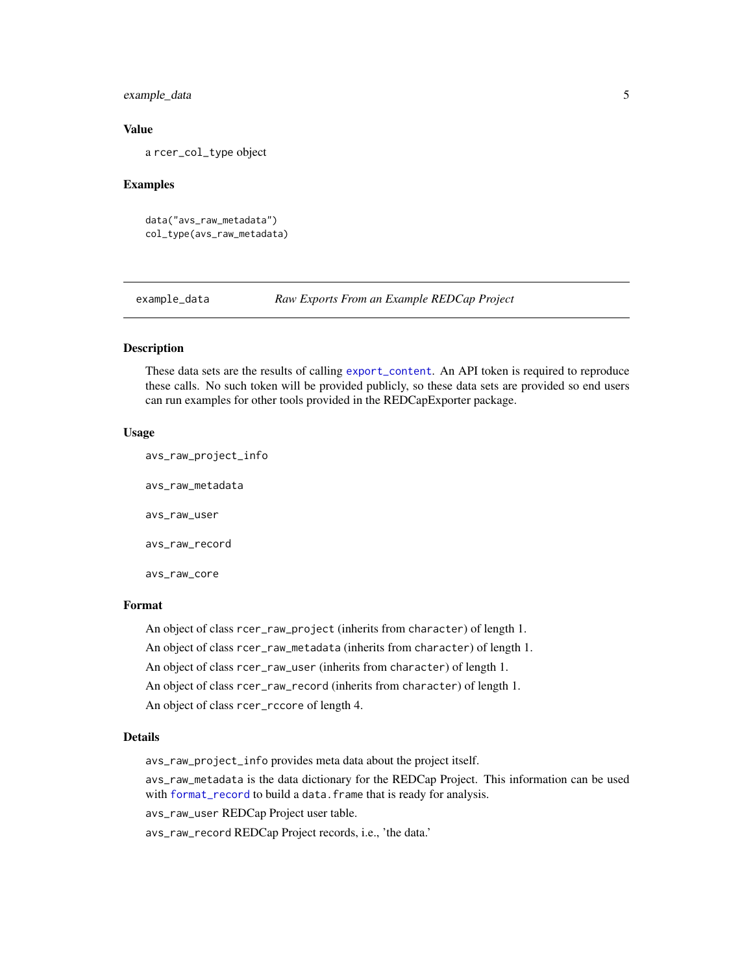#### <span id="page-4-0"></span>example\_data 5

#### Value

a rcer\_col\_type object

#### Examples

```
data("avs_raw_metadata")
col_type(avs_raw_metadata)
```
example\_data *Raw Exports From an Example REDCap Project*

#### Description

These data sets are the results of calling [export\\_content](#page-5-1). An API token is required to reproduce these calls. No such token will be provided publicly, so these data sets are provided so end users can run examples for other tools provided in the REDCapExporter package.

#### Usage

avs\_raw\_project\_info avs\_raw\_metadata avs\_raw\_user avs\_raw\_record avs\_raw\_core

#### Format

An object of class rcer\_raw\_project (inherits from character) of length 1. An object of class rcer\_raw\_metadata (inherits from character) of length 1. An object of class rcer\_raw\_user (inherits from character) of length 1. An object of class rcer\_raw\_record (inherits from character) of length 1. An object of class rcer\_rccore of length 4.

#### Details

avs\_raw\_project\_info provides meta data about the project itself.

avs\_raw\_metadata is the data dictionary for the REDCap Project. This information can be used with [format\\_record](#page-7-1) to build a data.frame that is ready for analysis.

avs\_raw\_user REDCap Project user table.

avs\_raw\_record REDCap Project records, i.e., 'the data.'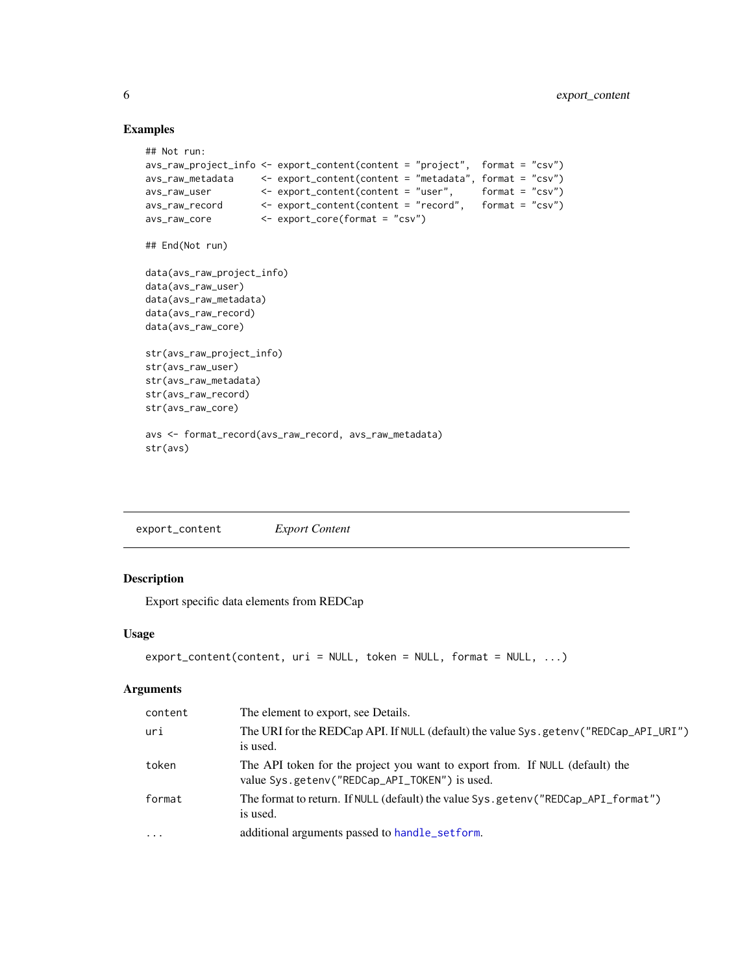#### Examples

```
## Not run:
avs_raw_project_info <- export_content(content = "project", format = "csv")
avs_raw_metadata <- export_content(content = "metadata", format = "csv")
avs_raw_user <- export_content(content = "user", format = "csv")
avs_raw_record <- export_content(content = "record", format = "csv")
avs_raw_core <- export_core(format = "csv")
## End(Not run)
data(avs_raw_project_info)
data(avs_raw_user)
data(avs_raw_metadata)
data(avs_raw_record)
data(avs_raw_core)
str(avs_raw_project_info)
str(avs_raw_user)
str(avs_raw_metadata)
str(avs_raw_record)
str(avs_raw_core)
avs <- format_record(avs_raw_record, avs_raw_metadata)
str(avs)
```
<span id="page-5-1"></span>

| export_content | <i>Export Content</i> |
|----------------|-----------------------|
|                |                       |

#### Description

Export specific data elements from REDCap

#### Usage

```
export_content(content, uri = NULL, token = NULL, format = NULL, ...)
```

| content  | The element to export, see Details.                                                                                           |
|----------|-------------------------------------------------------------------------------------------------------------------------------|
| uri      | The URI for the REDCap API. If NULL (default) the value Sys.getenv("REDCap_API_URI")<br>is used.                              |
| token    | The API token for the project you want to export from. If NULL (default) the<br>value Sys.getenv("REDCap_API_TOKEN") is used. |
| format   | The format to return. If NULL (default) the value Sys.geteny ("REDCap_API_format")<br>is used.                                |
| $\cdots$ | additional arguments passed to handle_setform.                                                                                |

<span id="page-5-0"></span>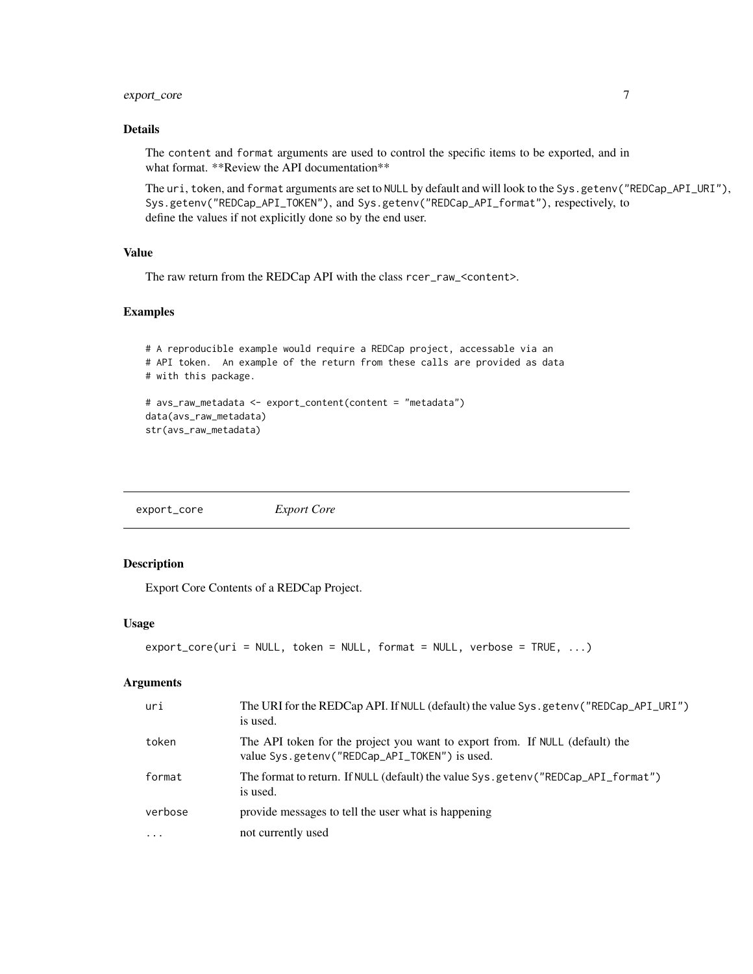#### <span id="page-6-0"></span>export\_core 7

#### Details

The content and format arguments are used to control the specific items to be exported, and in what format. \*\*Review the API documentation\*\*

The uri, token, and format arguments are set to NULL by default and will look to the Sys.getenv("REDCap\_API\_URI"), Sys.getenv("REDCap\_API\_TOKEN"), and Sys.getenv("REDCap\_API\_format"), respectively, to define the values if not explicitly done so by the end user.

#### Value

The raw return from the REDCap API with the class rcer\_raw\_<content>.

#### Examples

```
# A reproducible example would require a REDCap project, accessable via an
# API token. An example of the return from these calls are provided as data
# with this package.
# avs_raw_metadata <- export_content(content = "metadata")
data(avs_raw_metadata)
str(avs_raw_metadata)
```
export\_core *Export Core*

#### Description

Export Core Contents of a REDCap Project.

#### Usage

```
export_core(uri = NULL, token = NULL, format = NULL, verbose = TRUE, ...)
```

| uri       | The URI for the REDCap API. If NULL (default) the value Sys.getenv("REDCap_API_URI")<br>is used.                              |
|-----------|-------------------------------------------------------------------------------------------------------------------------------|
| token     | The API token for the project you want to export from. If NULL (default) the<br>value Sys.getenv("REDCap_API_TOKEN") is used. |
| format    | The format to return. If NULL (default) the value Sys.geteny ("REDCap_API_format")<br>is used.                                |
| verbose   | provide messages to tell the user what is happening                                                                           |
| $\ddotsc$ | not currently used                                                                                                            |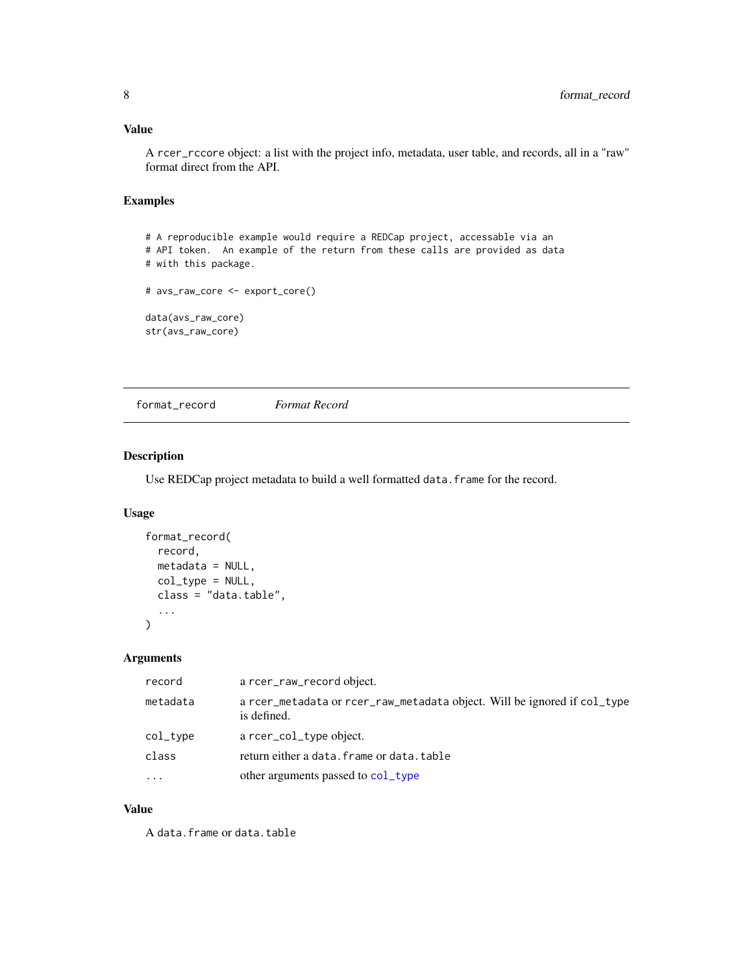#### <span id="page-7-0"></span>Value

A rcer\_rccore object: a list with the project info, metadata, user table, and records, all in a "raw" format direct from the API.

#### Examples

# A reproducible example would require a REDCap project, accessable via an # API token. An example of the return from these calls are provided as data # with this package. # avs\_raw\_core <- export\_core() data(avs\_raw\_core) str(avs\_raw\_core)

<span id="page-7-1"></span>format\_record *Format Record*

#### Description

Use REDCap project metadata to build a well formatted data. frame for the record.

#### Usage

```
format_record(
  record,
  metadata = NULL,
  col_type = NULL,
  class = "data.table",
  ...
\mathcal{L}
```
#### Arguments

| record   | a rcer_raw_record object.                                                               |
|----------|-----------------------------------------------------------------------------------------|
| metadata | a rcer_metadata or rcer_raw_metadata object. Will be ignored if col_type<br>is defined. |
| col_type | a rcer_col_type object.                                                                 |
| class    | return either a data. frame or data. table                                              |
| $\cdots$ | other arguments passed to col_type                                                      |

#### Value

A data.frame or data.table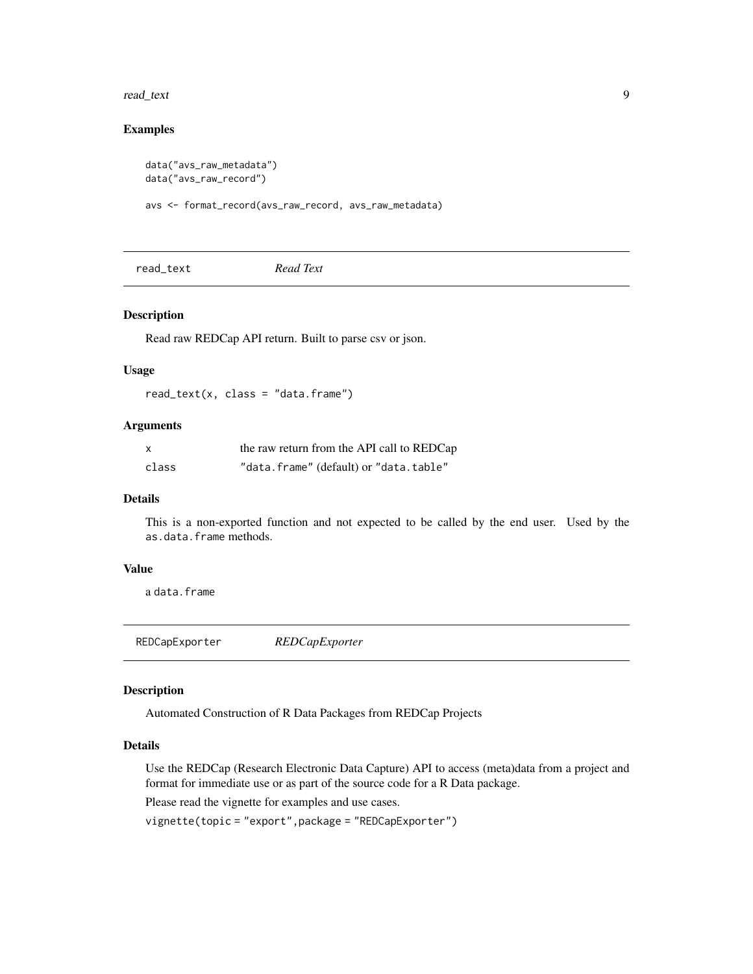#### <span id="page-8-0"></span>read\_text 9

#### Examples

```
data("avs_raw_metadata")
data("avs_raw_record")
```
avs <- format\_record(avs\_raw\_record, avs\_raw\_metadata)

read\_text *Read Text*

#### Description

Read raw REDCap API return. Built to parse csv or json.

#### Usage

 $read\_text(x, class = "data-frame")$ 

#### Arguments

| — x   | the raw return from the API call to REDCap |
|-------|--------------------------------------------|
| class | "data.frame" (default) or "data.table"     |

#### Details

This is a non-exported function and not expected to be called by the end user. Used by the as.data.frame methods.

#### Value

a data.frame

REDCapExporter *REDCapExporter*

#### Description

Automated Construction of R Data Packages from REDCap Projects

#### Details

Use the REDCap (Research Electronic Data Capture) API to access (meta)data from a project and format for immediate use or as part of the source code for a R Data package.

Please read the vignette for examples and use cases.

vignette(topic = "export",package = "REDCapExporter")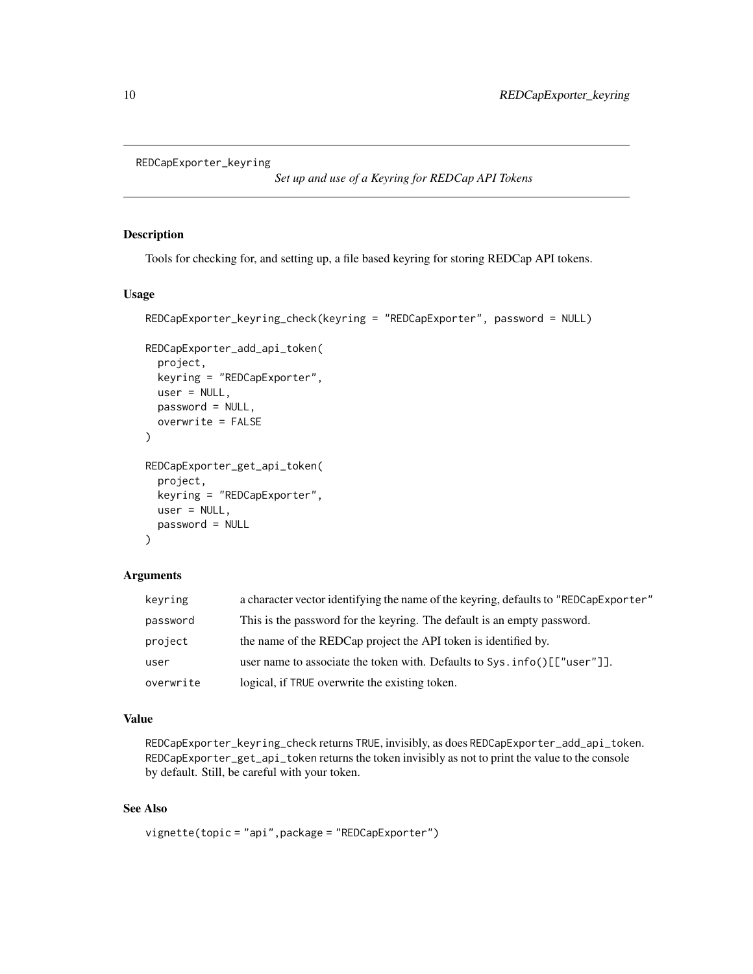<span id="page-9-0"></span>REDCapExporter\_keyring

*Set up and use of a Keyring for REDCap API Tokens*

#### Description

Tools for checking for, and setting up, a file based keyring for storing REDCap API tokens.

#### Usage

```
REDCapExporter_keyring_check(keyring = "REDCapExporter", password = NULL)
```

```
REDCapExporter_add_api_token(
  project,
  keyring = "REDCapExporter",
  user = NULL,
 password = NULL,
  overwrite = FALSE
\lambdaREDCapExporter_get_api_token(
  project,
  keyring = "REDCapExporter",
  user = NULL,
  password = NULL
)
```
#### Arguments

| keyring   | a character vector identifying the name of the keyring, defaults to "REDCapExporter" |
|-----------|--------------------------------------------------------------------------------------|
| password  | This is the password for the keyring. The default is an empty password.              |
| project   | the name of the REDCap project the API token is identified by.                       |
| user      | user name to associate the token with. Defaults to $Sys.info()$ [["user"]].          |
| overwrite | logical, if TRUE overwrite the existing token.                                       |

#### Value

REDCapExporter\_keyring\_check returns TRUE, invisibly, as does REDCapExporter\_add\_api\_token. REDCapExporter\_get\_api\_token returns the token invisibly as not to print the value to the console by default. Still, be careful with your token.

#### See Also

```
vignette(topic = "api",package = "REDCapExporter")
```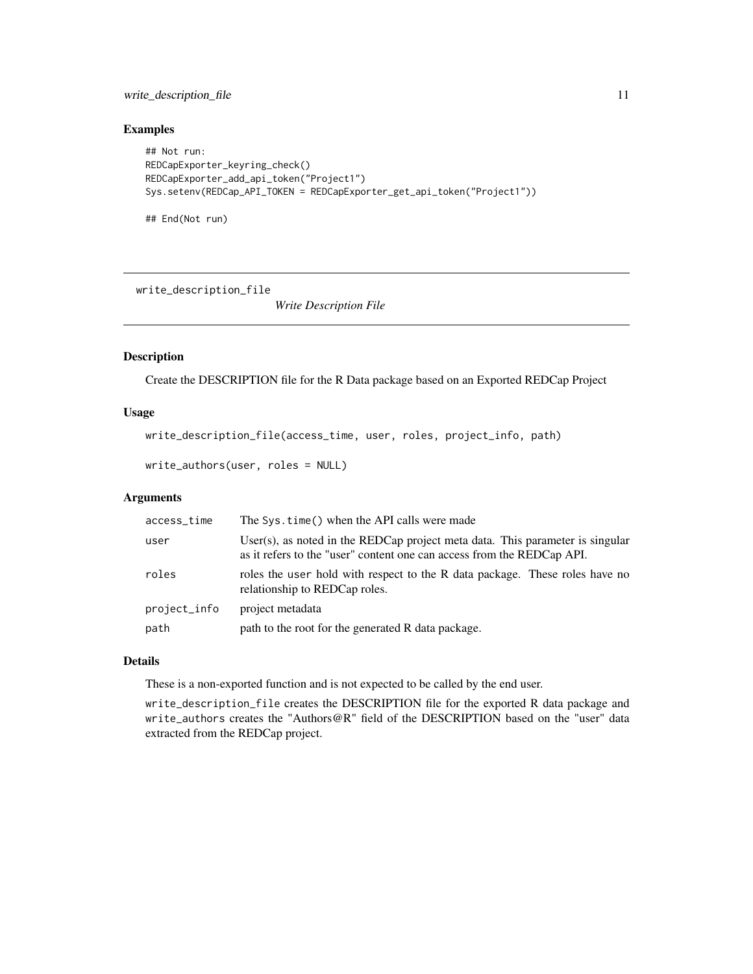#### <span id="page-10-0"></span>write\_description\_file 11

#### Examples

```
## Not run:
REDCapExporter_keyring_check()
REDCapExporter_add_api_token("Project1")
Sys.setenv(REDCap_API_TOKEN = REDCapExporter_get_api_token("Project1"))
```
## End(Not run)

write\_description\_file

*Write Description File*

#### Description

Create the DESCRIPTION file for the R Data package based on an Exported REDCap Project

#### Usage

```
write_description_file(access_time, user, roles, project_info, path)
```

```
write_authors(user, roles = NULL)
```
#### Arguments

| access_time  | The Sys.time() when the API calls were made                                                                                                             |
|--------------|---------------------------------------------------------------------------------------------------------------------------------------------------------|
| user         | User(s), as noted in the REDCap project meta data. This parameter is singular<br>as it refers to the "user" content one can access from the REDCap API. |
| roles        | roles the user hold with respect to the R data package. These roles have no<br>relationship to REDCap roles.                                            |
| project_info | project metadata                                                                                                                                        |
| path         | path to the root for the generated R data package.                                                                                                      |

#### Details

These is a non-exported function and is not expected to be called by the end user.

write\_description\_file creates the DESCRIPTION file for the exported R data package and write\_authors creates the "Authors@R" field of the DESCRIPTION based on the "user" data extracted from the REDCap project.